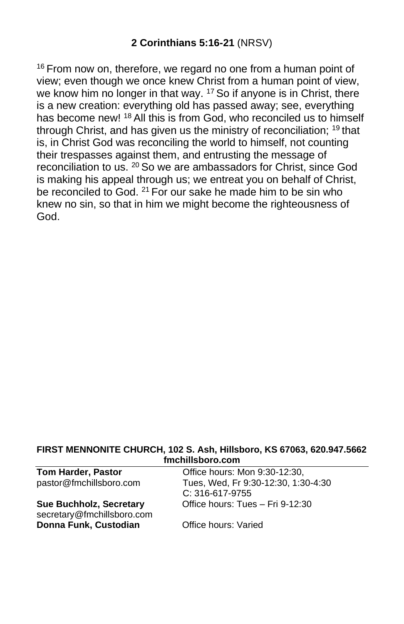<sup>16</sup> From now on, therefore, we regard no one from a human point of view; even though we once knew Christ from a human point of view, we know him no longer in that way. <sup>17</sup> So if anyone is in Christ, there is a new creation: everything old has passed away; see, everything has become new! <sup>18</sup> All this is from God, who reconciled us to himself through Christ, and has given us the ministry of reconciliation; <sup>19</sup> that is, in Christ God was reconciling the world to himself, not counting their trespasses against them, and entrusting the message of reconciliation to us. <sup>20</sup> So we are ambassadors for Christ, since God is making his appeal through us; we entreat you on behalf of Christ, be reconciled to God. <sup>21</sup> For our sake he made him to be sin who knew no sin, so that in him we might become the righteousness of God.

#### **FIRST MENNONITE CHURCH, 102 S. Ash, Hillsboro, KS 67063, 620.947.5662 fmchillsboro.com**

| <b>Tom Harder, Pastor</b>      | Office hours: Mon 9:30-12:30,       |
|--------------------------------|-------------------------------------|
| pastor@fmchillsboro.com        | Tues, Wed, Fr 9:30-12:30, 1:30-4:30 |
|                                | $C: 316-617-9755$                   |
| <b>Sue Buchholz, Secretary</b> | Office hours: Tues - Fri 9-12:30    |
| secretary@fmchillsboro.com     |                                     |
| Donna Funk, Custodian          | Office hours: Varied                |
|                                |                                     |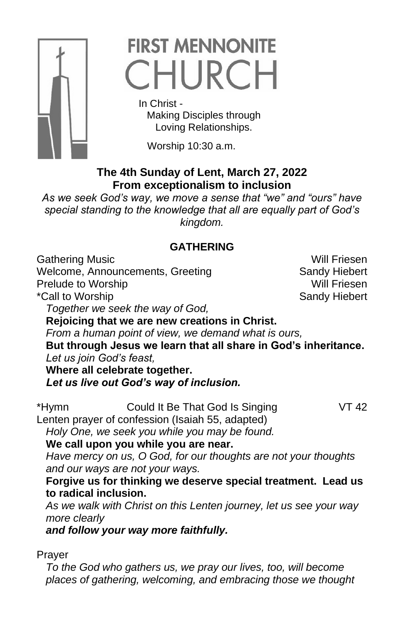

# **FIRST MENNONITE** CHURCH

 In Christ - Making Disciples through Loving Relationships.

Worship 10:30 a.m.

## **The 4th Sunday of Lent, March 27, 2022 From exceptionalism to inclusion**

*As we seek God's way, we move a sense that "we" and "ours" have special standing to the knowledge that all are equally part of God's kingdom.*

## **GATHERING**

Gathering Music **Will Friesen** 

Welcome, Announcements, Greeting Sandy Hiebert Prelude to Worship Will Friesen \*Call to Worship Sandy Hiebert

*Together we seek the way of God,*

**Rejoicing that we are new creations in Christ.**

*From a human point of view, we demand what is ours,*

**But through Jesus we learn that all share in God's inheritance.** *Let us join God's feast,*

**Where all celebrate together.**

*Let us live out God's way of inclusion.*

\*Hymn Could It Be That God Is Singing VT 42 Lenten prayer of confession (Isaiah 55, adapted)

*Holy One, we seek you while you may be found.*

**We call upon you while you are near.**

*Have mercy on us, O God, for our thoughts are not your thoughts and our ways are not your ways.*

**Forgive us for thinking we deserve special treatment. Lead us to radical inclusion.**

*As we walk with Christ on this Lenten journey, let us see your way more clearly*

*and follow your way more faithfully.* 

Prayer

*To the God who gathers us, we pray our lives, too, will become places of gathering, welcoming, and embracing those we thought*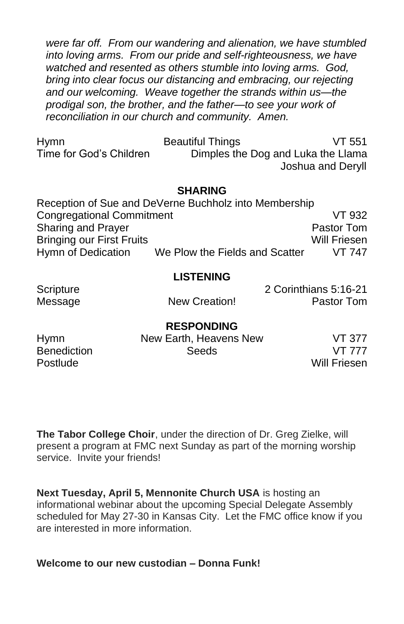*were far off. From our wandering and alienation, we have stumbled into loving arms. From our pride and self-righteousness, we have watched and resented as others stumble into loving arms. God, bring into clear focus our distancing and embracing, our rejecting and our welcoming. Weave together the strands within us—the prodigal son, the brother, and the father—to see your work of reconciliation in our church and community. Amen.*

| <b>Hymn</b>             | <b>Beautiful Things</b>            | VT 551            |
|-------------------------|------------------------------------|-------------------|
| Time for God's Children | Dimples the Dog and Luka the Llama |                   |
|                         |                                    | Joshua and Deryll |

#### **SHARING**

|                                  | Reception of Sue and DeVerne Buchholz into Membership |               |
|----------------------------------|-------------------------------------------------------|---------------|
| <b>Congregational Commitment</b> |                                                       | VT 932        |
| <b>Sharing and Prayer</b>        |                                                       | Pastor Tom    |
| <b>Bringing our First Fruits</b> |                                                       | Will Friesen  |
| Hymn of Dedication               | We Plow the Fields and Scatter                        | <b>VT 747</b> |

#### **LISTENING**

Scripture 2 Corinthians 5:16-21 Message The New Creation! Pastor Tom

#### **RESPONDING**

| <b>Hymn</b>        | New Earth, Heavens New | VT 377       |
|--------------------|------------------------|--------------|
| <b>Benediction</b> | Seeds                  | VT 777       |
| Postlude           |                        | Will Friesen |

**The Tabor College Choir**, under the direction of Dr. Greg Zielke, will present a program at FMC next Sunday as part of the morning worship service. Invite your friends!

**Next Tuesday, April 5, Mennonite Church USA** is hosting an informational webinar about the upcoming Special Delegate Assembly scheduled for May 27-30 in Kansas City. Let the FMC office know if you are interested in more information.

#### **Welcome to our new custodian – Donna Funk!**